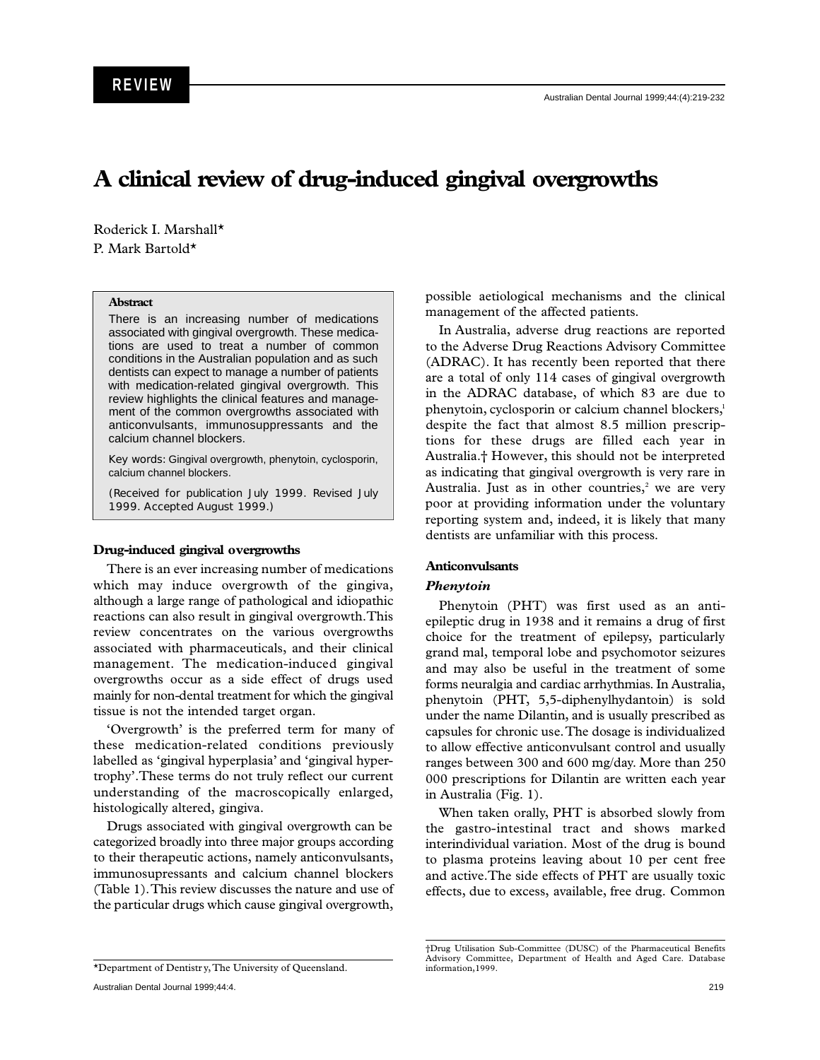# A clinical review of drug-induced gingival overgrowths

Roderick I. Marshall\* P. Mark Bartold\*

#### **Abstract**

There is an increasing number of medications associated with gingival overgrowth. These medications are used to treat a number of common conditions in the Australian population and as such dentists can expect to manage a number of patients with medication-related gingival overgrowth. This review highlights the clinical features and management of the common overgrowths associated with anticonvulsants, immunosuppressants and the calcium channel blockers.

**Key words:** Gingival overgrowth, phenytoin, cyclosporin, calcium channel blockers.

(Received for publication July 1999. Revised July 1999. Accepted August 1999.)

#### **Drug-induced gingival overgrowths**

There is an ever increasing number of medications which may induce overgrowth of the gingiva, although a large range of pathological and idiopathic reactions can also result in gingival overgrowth.This review concentrates on the various overgrowths associated with pharmaceuticals, and their clinical management. The medication-induced gingival overgrowths occur as a side effect of drugs used mainly for non-dental treatment for which the gingival tissue is not the intended target organ.

'Overgrowth' is the preferred term for many of these medication-related conditions previously labelled as 'gingival hyperplasia' and 'gingival hypertrophy'.These terms do not truly reflect our current understanding of the macroscopically enlarged, histologically altered, gingiva.

Drugs associated with gingival overgrowth can be categorized broadly into three major groups according to their therapeutic actions, namely anticonvulsants, immunosupressants and calcium channel blockers ( Table 1).This review discusses the nature and use of the particular drugs which cause gingival overgrowth,

possible aetiological mechanisms and the clinical management of the affected patients.

In Australia, adverse drug reactions are reported to the Adverse Drug Reactions Advisory Committee (ADRAC). It has recently been reported that there are a total of only 114 cases of gingival overgrowth in the ADRAC database, of which 83 are due to phenytoin, cyclosporin or calcium channel blockers,<sup>1</sup> despite the fact that almost 8.5 million prescriptions for these drugs are filled each year in Australia.† However, this should not be interpreted as indicating that gingival overgrowth is very rare in Australia. Just as in other countries, $2$  we are very poor at providing information under the voluntary reporting system and, indeed, it is likely that many dentists are unfamiliar with this process.

#### **Anticonvulsants**

#### *Phenytoin*

Phenytoin (PHT) was first used as an antiepileptic drug in 1938 and it remains a drug of first choice for the treatment of epilepsy, particularly grand mal, temporal lobe and psychomotor seizures and may also be useful in the treatment of some forms neuralgia and cardiac arrhythmias. In Australia, phenytoin (PHT, 5,5-diphenylhydantoin) is sold under the name Dilantin, and is usually prescribed as capsules for chronic use.The dosage is individualized to allow effective anticonvulsant control and usually ranges between 300 and 600 mg/day. More than 250 000 prescriptions for Dilantin are written each year in Australia (Fig. 1).

When taken orally, PHT is absorbed slowly from the gastro-intestinal tract and shows marked interindividual variation. Most of the drug is bound to plasma proteins leaving about 10 per cent free and active.The side effects of PHT are usually toxic effects, due to excess, available, free drug. Common

<sup>†</sup>Drug Utilisation Sub-Committee (DUSC) of the Pharmaceutical Benefits Advisory Committee, Department of Health and Aged Care. Database information,1999.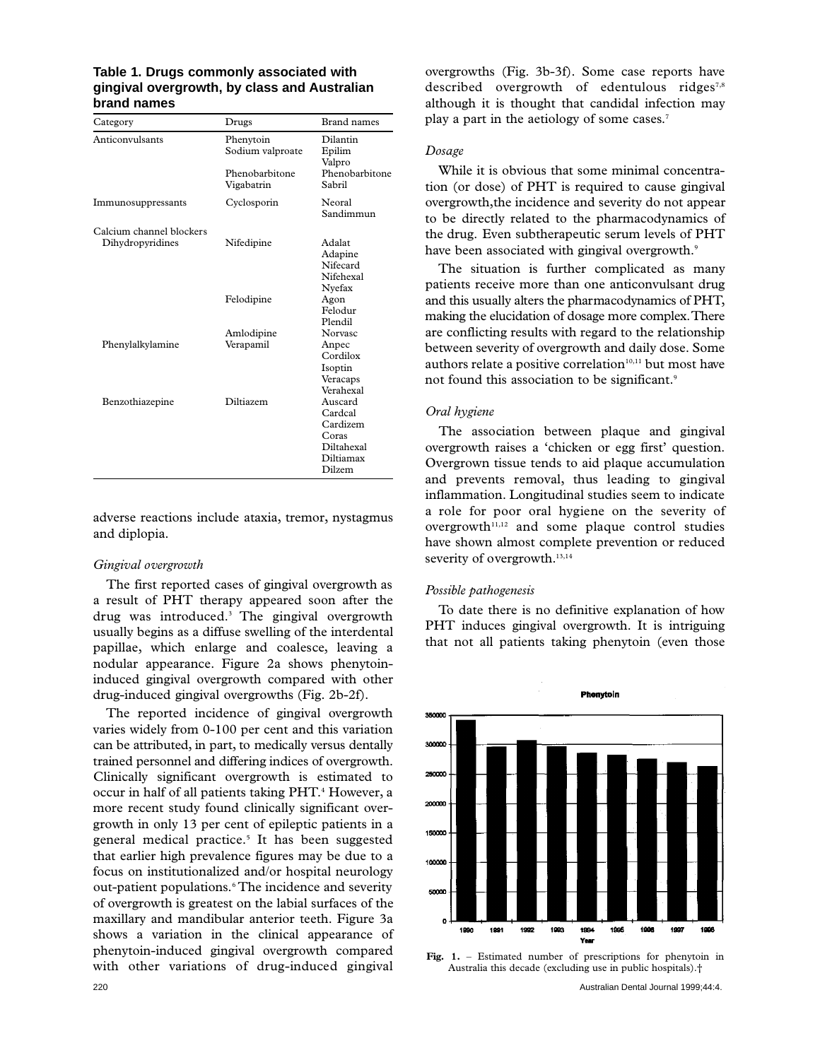| Table 1. Drugs commonly associated with      |
|----------------------------------------------|
| gingival overgrowth, by class and Australian |
| brand names                                  |

| Category                 | Drugs                         | <b>Brand names</b>           |
|--------------------------|-------------------------------|------------------------------|
| Anticonvulsants          | Phenytoin<br>Sodium valproate | Dilantin<br>Epilim<br>Valpro |
|                          | Phenobarbitone<br>Vigabatrin  | Phenobarbitone<br>Sabril     |
| Immunosuppressants       | Cyclosporin                   | Neoral<br>Sandimmun          |
| Calcium channel blockers |                               |                              |
| Dihydropyridines         | Nifedipine                    | Adalat                       |
|                          |                               | Adapine                      |
|                          |                               | Nifecard                     |
|                          |                               | Nifehexal                    |
|                          |                               | Nvefax                       |
|                          | Felodipine                    | Agon                         |
|                          |                               | Felodur                      |
|                          |                               | Plendil                      |
|                          | Amlodipine                    | Norvasc                      |
| Phenylalkylamine         | Verapamil                     | Anpec                        |
|                          |                               | Cordilox                     |
|                          |                               | Isoptin                      |
|                          |                               | Veracaps                     |
|                          |                               | Verahexal                    |
| Benzothiazepine          | Diltiazem                     | Auscard                      |
|                          |                               | Cardcal                      |
|                          |                               | Cardizem                     |
|                          |                               | Coras                        |
|                          |                               | Diltahexal                   |
|                          |                               | Diltiamax                    |
|                          |                               | Dilzem                       |

adverse reactions include ataxia, tremor, nystagmus and diplopia.

#### *Gingival overgrowth*

The first reported cases of gingival overgrowth as a result of PHT therapy appeared soon after the drug was introduced.<sup>3</sup> The gingival overgrowth usually begins as a diffuse swelling of the interdental papillae, which enlarge and coalesce, leaving a nodular appearance. Figure 2a shows phenytoininduced gingival overgrowth compared with other drug-induced gingival overgrowths (Fig. 2b-2f).

The reported incidence of gingival overgrowth varies widely from 0-100 per cent and this variation can be attributed, in part, to medically versus dentally trained personnel and differing indices of overgrowth. Clinically significant overgrowth is estimated to occur in half of all patients taking PHT.<sup>4</sup> However, a more recent study found clinically significant overgrowth in only 13 per cent of epileptic patients in a general medical practice.<sup>5</sup> It has been suggested that earlier high prevalence figures may be due to a focus on institutionalized and/or hospital neurology out-patient populations.<sup>6</sup> The incidence and severity of overgrowth is greatest on the labial surfaces of the maxillary and mandibular anterior teeth. Figure 3a shows a variation in the clinical appearance of phenytoin-induced gingival overgrowth compared with other variations of drug-induced gingival

overgrowths (Fig. 3b-3f). Some case reports have described overgrowth of edentulous ridges<sup>7,8</sup> although it is thought that candidal infection may play a part in the aetiology of some cases.7

#### *Dosage*

While it is obvious that some minimal concentration (or dose) of PHT is required to cause gingival overgrowth,the incidence and severity do not appear to be directly related to the pharmacodynamics of the drug. Even subtherapeutic serum levels of PHT have been associated with gingival overgrowth.<sup>9</sup>

The situation is further complicated as many patients receive more than one anticonvulsant drug and this usually alters the pharmacodynamics of PHT, making the elucidation of dosage more complex. There are conflicting results with regard to the relationship between severity of overgrowth and daily dose. Some authors relate a positive correlation $10,11$  but most have not found this association to be significant.<sup>9</sup>

#### *Oral hygiene*

The association between plaque and gingival overgrowth raises a 'chicken or egg first' question. Overgrown tissue tends to aid plaque accumulation and prevents removal, thus leading to gingival inflammation. Longitudinal studies seem to indicate a role for poor oral hygiene on the severity of overgrowth $11, 12$  and some plaque control studies have shown almost complete prevention or reduced severity of overgrowth.<sup>13,14</sup>

#### *Possible pathogenesis*

To date there is no definitive explanation of how PHT induces gingival overgrowth. It is intriguing that not all patients taking phenytoin (even those



**Fig. 1.** – Estimated number of prescriptions for phenytoin in Australia this decade (excluding use in public hospitals).†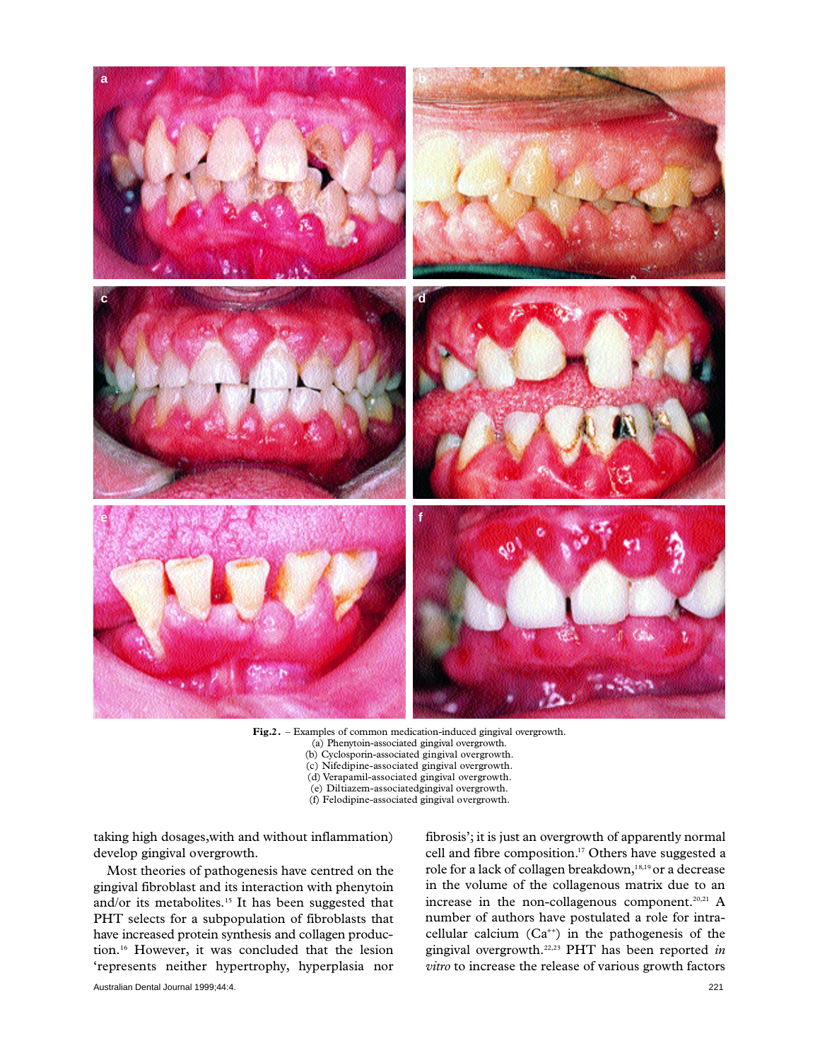

**Fig.2.** – Examples of common medication-induced gingival overgrowth.  $(a)$  Phenytoin-associated gingival overgrowth.

- (b) Cyclosporin-associated gingival overgrowth.
- (c) Nifedipine-associated gingival overgrowth.
- (d) Verapamil-associated gingival overgrowth.
- (e) Diltiazem-associatedgingival overgrowth.
- (f) Felodipine-associated gingival overgrowth.

taking high dosages,with and without inflammation) develop gingival overgrowth.

Most theories of pathogenesis have centred on the gingival fibroblast and its interaction with phenytoin and/or its metabolites.<sup>15</sup> It has been suggested that PHT selects for a subpopulation of fibroblasts that have increased protein synthesis and collagen production.16 However, it was concluded that the lesion 'represents neither hypertrophy, hyperplasia nor

Australian Dental Journal 1999;44:4. 221

fibrosis'; it is just an overgrowth of apparently normal cell and fibre composition.<sup>17</sup> Others have suggested a role for a lack of collagen breakdown, 18,19 or a decrease in the volume of the collagenous matrix due to an increase in the non-collagenous component.<sup>20,21</sup> A number of authors have postulated a role for intracellular calcium  $(Ca^{+})$  in the pathogenesis of the gingival overgrowth.22,23 PHT has been reported *in vitro* to increase the release of various growth factors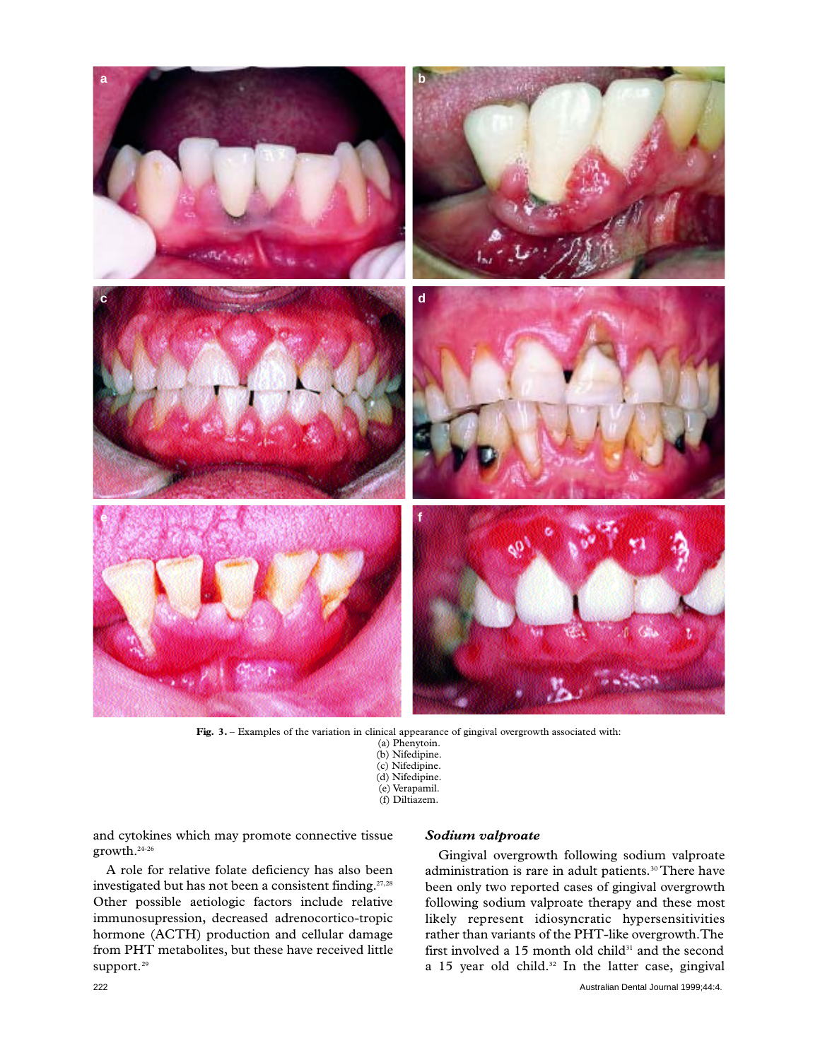

**Fig. 3.** – Examples of the variation in clinical appearance of gingival overgrowth associated with:

- (a) Phenytoin. (b) Nifedipine.
- (c) Nifedipine.
- (d) Nifedipine.
- (e) Verapamil.
- (f) Diltiazem.

and cytokines which may promote connective tissue growth.24-26

A role for relative folate deficiency has also been investigated but has not been a consistent finding.<sup>27,28</sup> Other possible aetiologic factors include relative immunosupression, decreased adrenocortico-tropic hormone (ACTH) production and cellular damage from PHT metabolites, but these have received little support.<sup>29</sup>

## *Sodium valproate*

Gingival overgrowth following sodium valproate administration is rare in adult patients.<sup>30</sup> There have been only two reported cases of gingival overgrowth following sodium valproate therapy and these most likely represent idiosyncratic hypersensitivities rather than variants of the PHT-like overgrowth.The first involved a 15 month old child $31$  and the second a 15 year old child.<sup>32</sup> In the latter case, gingival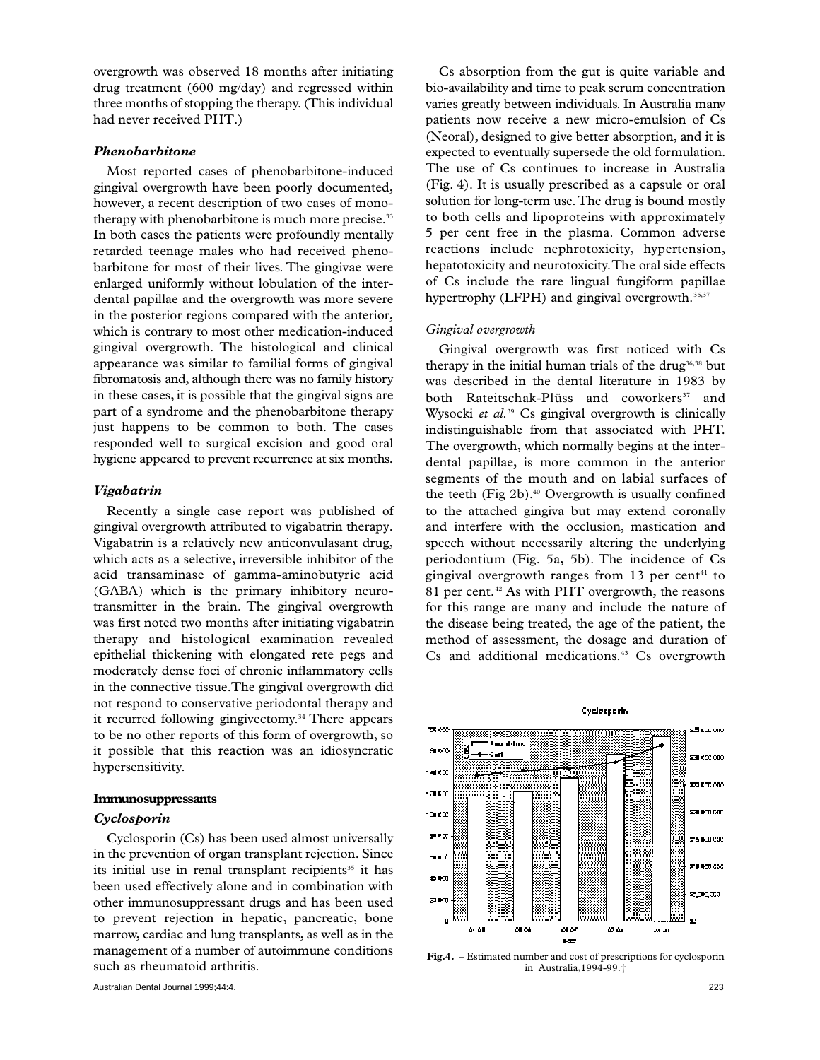overgrowth was observed 18 months after initiating drug treatment (600 mg/day) and regressed within three months of stopping the therapy. (This individual had never received PHT.)

#### *Phenobarbitone*

Most reported cases of phenobarbitone-induced gingival overgrowth have been poorly documented, however, a recent description of two cases of monotherapy with phenobarbitone is much more precise.<sup>33</sup> In both cases the patients were profoundly mentally retarded teenage males who had received phenobarbitone for most of their lives. The gingivae were enlarged uniformly without lobulation of the interdental papillae and the overgrowth was more severe in the posterior regions compared with the anterior, which is contrary to most other medication-induced gingival overgrowth. The histological and clinical appearance was similar to familial forms of gingival fibromatosis and, although there was no family history in these cases, it is possible that the gingival signs are part of a syndrome and the phenobarbitone therapy just happens to be common to both. The cases responded well to surgical excision and good oral hy giene appeared to prevent recurrence at six months.

#### *Vigabatrin*

Recently a single case report was published of gingival overgrowth attributed to vigabatrin therapy. Vigabatrin is a relatively new anticonvulasant drug, which acts as a selective, irreversible inhibitor of the acid transaminase of gamma-aminobutyric acid  $(GABA)$  which is the primary inhibitory neurotransmitter in the brain. The gingival overgrowth was first noted two months after initiating vigabatrin therapy and histological examination revealed epithelial thickening with elongated rete pegs and moderately dense foci of chronic inflammatory cells in the connective tissue.The gingival overgrowth did not respond to conservative periodontal therapy and it recurred following gingivectomy.<sup>34</sup> There appears to be no other reports of this form of overgrowth, so it possible that this reaction was an idiosyncratic hypersensitivity.

#### **Immunosuppressants**

#### *Cyclosporin*

Cyclosporin (Cs) has been used almost universally in the prevention of organ transplant rejection. Since its initial use in renal transplant recipients<sup>35</sup> it has been used effectively alone and in combination with other immunosuppressant drugs and has been used to prevent rejection in hepatic, pancreatic, bone marrow, cardiac and lung transplants, as well as in the management of a number of autoimmune conditions such as rheumatoid arthritis.

Australian Dental Journal 1999;44:4. 223

Cs absorption from the gut is quite variable and bio-availability and time to peak serum concentration varies greatly between individuals. In Australia many patients now receive a new micro-emulsion of Cs (Neoral), designed to give better absorption, and it is expected to eventually supersede the old formulation. The use of Cs continues to increase in Australia (Fig. 4). It is usually prescribed as a capsule or oral solution for long-term use.The drug is bound mostly to both cells and lipoproteins with approximately 5 per cent free in the plasma. Common adverse reactions include nephrotoxicity, hypertension, hepatotoxicity and neurotoxicity. The oral side effects of Cs include the rare lingual fungiform papillae hypertrophy (LFPH) and gingival overgrowth.<sup>36,37</sup>

#### *Gingival overgrowth*

Gingival overgrowth was first noticed with Cs therapy in the initial human trials of the drug<sup>36,38</sup> but was described in the dental literature in 1983 by both Rateitschak-Plüss and coworkers<sup>37</sup> and Wysocki *et al*. <sup>39</sup> Cs gingival overgrowth is clinically indistinguishable from that associated with PHT. The overgrowth, which normally begins at the interdental papillae, is more common in the anterior segments of the mouth and on labial surfaces of the teeth (Fig  $2b$ ).<sup>40</sup> Overgrowth is usually confined to the attached gingiva but may extend coronally and interfere with the occlusion, mastication and speech without necessarily altering the underlying periodontium (Fig. 5a, 5b). The incidence of Cs gingival overgrowth ranges from 13 per cent $41$  to 81 per cent.<sup>42</sup> As with PHT overgrowth, the reasons for this range are many and include the nature of the disease being treated, the age of the patient, the method of assessment, the dosage and duration of Cs and additional medications.<sup>43</sup> Cs overgrowth



**Fig.4.** – Estimated number and cost of prescriptions for cyclosporin in Australia,1994-99.†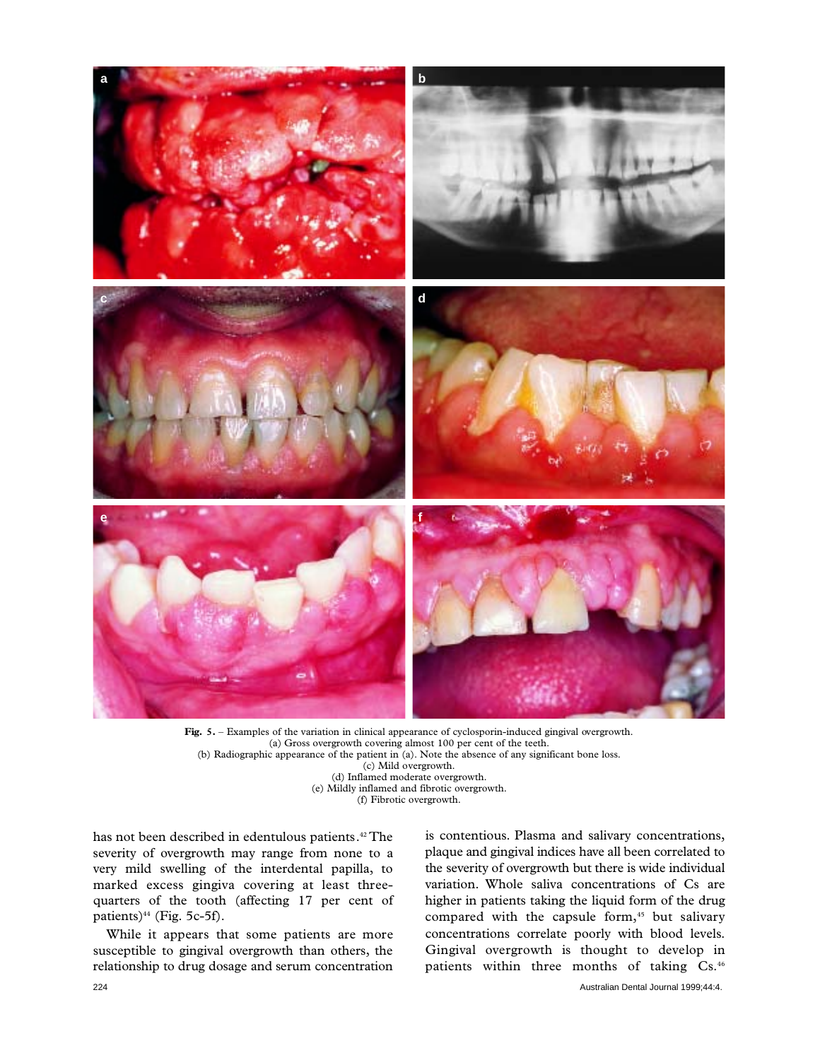

**Fig. 5.** – Examples of the variation in clinical appearance of cyclosporin-induced gingival overgrowth. (a) Gross overgrowth covering almost 100 per cent of the teeth. (b) Radiographic appearance of the patient in (a). Note the absence of any significant bone loss. (c) Mild overgrowth. (d) Inflamed moderate overgrowth. (e) Mildly inflamed and fibrotic overgrowth. (f) Fibrotic overgrowth.

has not been described in edentulous patients.<sup>42</sup> The severity of overgrowth may range from none to a very mild swelling of the interdental papilla, to marked excess gingiva covering at least threequarters of the tooth (affecting 17 per cent of patients) $44$  (Fig. 5c-5f).

While it appears that some patients are more susceptible to gingival overgrowth than others, the relationship to drug dosage and serum concentration

is contentious. Plasma and salivary concentrations, plaque and gingival indices have all been correlated to the severity of overgrowth but there is wide individual variation. Whole saliva concentrations of Cs are higher in patients taking the liquid form of the drug compared with the capsule form,<sup>45</sup> but salivary concentrations correlate poorly with blood levels. Gingival overgrowth is thought to develop in patients within three months of taking Cs.<sup>46</sup>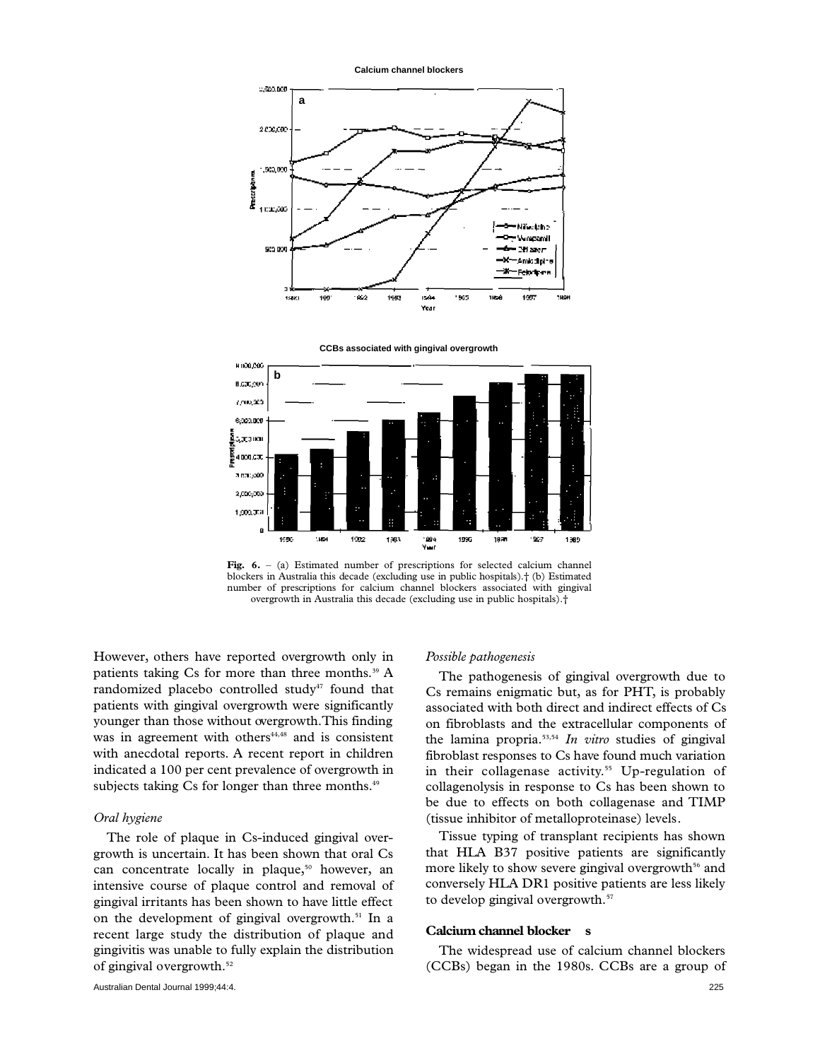



Fig. 6. - (a) Estimated number of prescriptions for selected calcium channel blockers in Australia this decade (excluding use in public hospitals).<sup>†</sup> (b) Estimated number of prescriptions for calcium channel blockers associated with gingival overgrowth in Australia this decade (excluding use in public hospitals).†

However, others have reported overgrowth only in patients taking Cs for more than three months.<sup>39</sup> A randomized placebo controlled study<sup>47</sup> found that patients with gingival overgrowth were significantly younger than those without overgrowth.This finding was in agreement with others<sup>44,48</sup> and is consistent with anecdotal reports. A recent report in children indicated a 100 per cent prevalence of overgrowth in subjects taking Cs for longer than three months.<sup>49</sup>

#### *Oral hygiene*

The role of plaque in Cs-induced gingival overgrowth is uncertain. It has been shown that oral Cs can concentrate locally in plaque,<sup>50</sup> however, an intensive course of plaque control and removal of gingival irritants has been shown to have little effect on the development of gingival overgrowth.<sup>51</sup> In a recent large study the distribution of plaque and gingivitis was unable to fully explain the distribution of gingival overgrowth.52

#### *Possible pathogenesis*

The pathogenesis of gingival overgrowth due to Cs remains enigmatic but, as for PHT, is probably associated with both direct and indirect effects of Cs on fibroblasts and the extracellular components of the lamina propria.53,54 *In vitro* studies of gingival fibroblast responses to Cs have found much variation in their collagenase activity.<sup>55</sup> Up-regulation of collagenolysis in response to Cs has been shown to be due to effects on both collagenase and TIMP (tissue inhibitor of metalloproteinase) levels.

Tissue typing of transplant recipients has shown that HLA B37 positive patients are significantly more likely to show severe gingival overgrowth<sup>56</sup> and conversely HLA DR1 positive patients are less likely to develop gingival overgrowth.<sup>57</sup>

#### **Calcium channel blocker s**

The widespread use of calcium channel blockers (CCBs) began in the 1980s. CCBs are a group of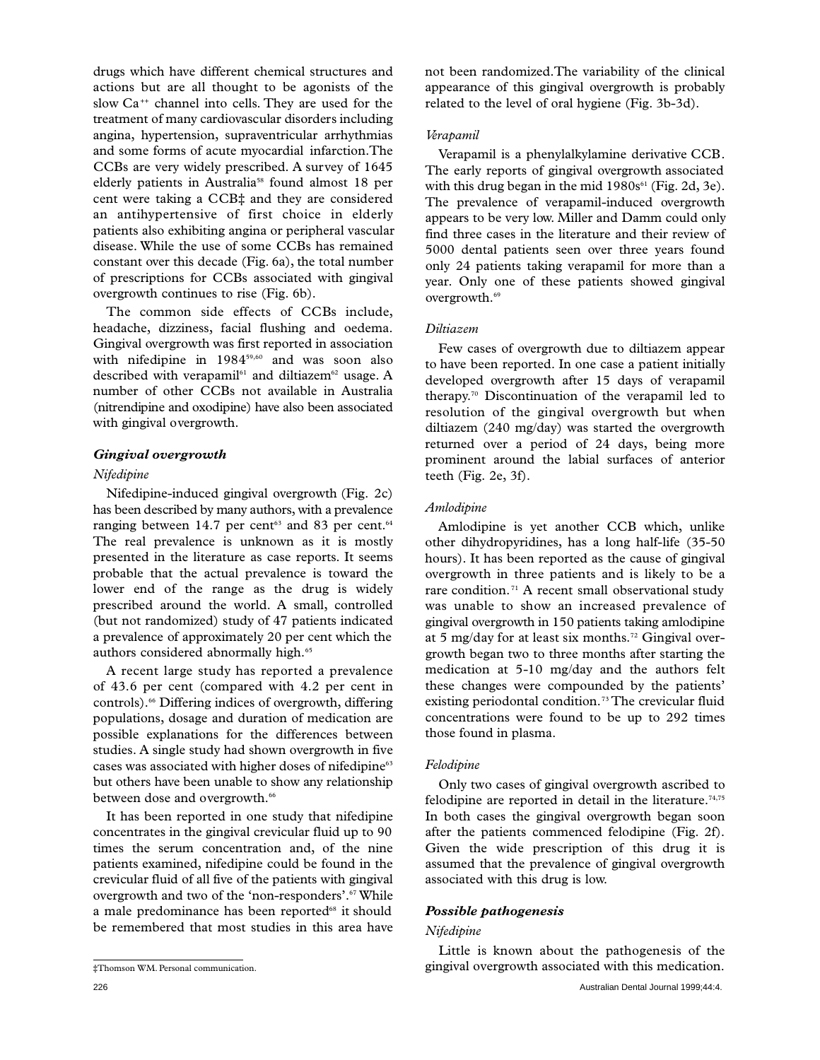drugs which have different chemical structures and actions but are all thought to be agonists of the slow Ca<sup>++</sup> channel into cells. They are used for the treatment of many cardiovascular disorders including angina, hypertension, supraventricular arrhythmias and some forms of acute myocardial infarction.The CCBs are very widely prescribed. A survey of 1645 elderly patients in Australia<sup>58</sup> found almost 18 per cent were taking a CCB‡ and they are considered an antihypertensive of first choice in elderly patients also exhibiting angina or peripheral vascular disease. While the use of some CCBs has remained constant over this decade (Fig. 6a), the total number of prescriptions for CCBs associated with gingival overgrowth continues to rise (Fig. 6b).

The common side effects of CCBs include, headache, dizziness, facial flushing and oedema. Gingival overgrowth was first reported in association with nifedipine in  $1984^{59,60}$  and was soon also described with verapamil<sup>61</sup> and diltiazem<sup>62</sup> usage. A number of other CCBs not available in Australia (nitrendipine and oxodipine) have also been associated with gingival overgrowth.

## *Gingival overgrowth*

## *Nifedipine*

Nifedipine-induced gingival overgrowth (Fig. 2c) has been described by many authors, with a prevalence ranging between 14.7 per cent<sup>63</sup> and 83 per cent.<sup>64</sup> The real prevalence is unknown as it is mostly presented in the literature as case reports. It seems probable that the actual prevalence is toward the lower end of the range as the drug is widely prescribed around the world. A small, controlled (but not randomized) study of 47 patients indicated a prevalence of approximately 20 per cent which the authors considered abnormally high.<sup>65</sup>

A recent large study has reported a prevalence of 43.6 per cent (compared with 4.2 per cent in controls).66 Differing indices of overgrowth, differing populations, dosage and duration of medication are possible explanations for the differences between studies. A single study had shown overgrowth in five cases was associated with higher doses of nifedipine<sup>63</sup> but others have been unable to show any relationship between dose and overgrowth.<sup>66</sup>

It has been reported in one study that nifedipine concentrates in the gingival crevicular fluid up to 90 times the serum concentration and, of the nine patients examined, nifedipine could be found in the crevicular fluid of all five of the patients with gingival overgrowth and two of the 'non-responders'.<sup>67</sup> While a male predominance has been reported<sup>68</sup> it should be remembered that most studies in this area have not been randomized.The variability of the clinical appearance of this gingival overgrowth is probably related to the level of oral hygiene (Fig. 3b-3d).

#### *Verapamil*

Verapamil is a phenylalkylamine derivative CCB. The early reports of gingival overgrowth associated with this drug began in the mid  $1980s^{61}$  (Fig. 2d, 3e). The prevalence of verapamil-induced overgrowth appears to be very low. Miller and Damm could only find three cases in the literature and their review of 5000 dental patients seen over three years found only 24 patients taking verapamil for more than a year. Only one of these patients showed gingival overgrowth.<sup>69</sup>

#### *Diltiazem*

Few cases of overgrowth due to diltiazem appear to have been reported. In one case a patient initially developed overgrowth after 15 days of verapamil therapy.70 Discontinuation of the verapamil led to resolution of the gingival overgrowth but when diltiazem (240 mg/day) was started the overgrowth returned over a period of 24 days, being more prominent around the labial surfaces of anterior teeth (Fig. 2e, 3f).

## *Amlodipine*

Amlodipine is yet another CCB which, unlike other dihydropyridines, has a long half-life (35-50 hours). It has been reported as the cause of gingival overgrowth in three patients and is likely to be a rare condition.<sup>71</sup> A recent small observational study was unable to show an increased prevalence of gingival overgrowth in 150 patients taking amlodipine at 5 mg/day for at least six months.<sup>72</sup> Gingival overgrowth began two to three months after starting the medication at 5-10 mg/day and the authors felt these changes were compounded by the patients' existing periodontal condition.<sup>73</sup> The crevicular fluid concentrations were found to be up to 292 times those found in plasma.

#### *Felodipine*

Only two cases of gingival overgrowth ascribed to felodipine are reported in detail in the literature.<sup>74,75</sup> In both cases the gingival overgrowth began soon after the patients commenced felodipine (Fig. 2f). Given the wide prescription of this drug it is assumed that the prevalence of gingival overgrowth associated with this drug is low.

### *Possible pathogenesis*

#### *Nifedipine*

Little is known about the pathogenesis of the gingival overgrowth associated with this medication.

<sup>‡</sup>Thomson WM. Personal communication.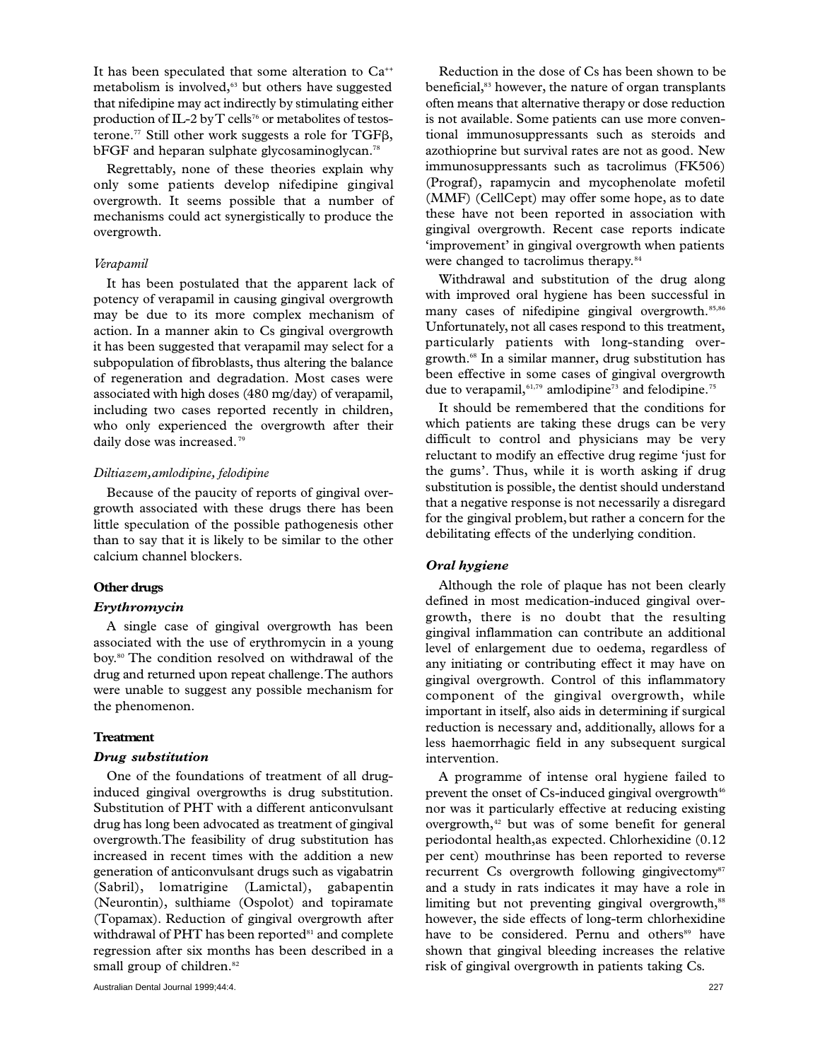It has been speculated that some alteration to Ca<sup>++</sup> metabolism is involved,<sup>63</sup> but others have suggested that nifedipine may act indirectly by stimulating either production of IL-2 by  $T$  cells<sup>76</sup> or metabolites of testosterone.<sup>77</sup> Still other work suggests a role for TGF $\beta$ , bFGF and heparan sulphate glycosaminoglycan.<sup>78</sup>

Regrettably, none of these theories explain why only some patients develop nifedipine gingival overgrowth. It seems possible that a number of mechanisms could act synergistically to produce the overgrowth.

#### *Verapamil*

It has been postulated that the apparent lack of potency of verapamil in causing gingival overgrowth may be due to its more complex mechanism of action. In a manner akin to Cs gingival overgrowth it has been suggested that verapamil may select for a subpopulation of fibroblasts, thus altering the balance of regeneration and degradation. Most cases were associated with high doses (480 mg/day) of verapamil, including two cases reported recently in children, who only experienced the overgrowth after their daily dose was increased.<sup>79</sup>

### *Diltiazem,amlodipine, felodipine*

Because of the paucity of reports of gingival overgrowth associated with these drugs there has been little speculation of the possible pathogenesis other than to say that it is likely to be similar to the other calcium channel blockers.

## **Other drugs**

#### *Erythromycin*

A single case of gingival overgrowth has been associated with the use of erythromycin in a young boy.80 The condition resolved on withdrawal of the drug and returned upon repeat challenge. The authors were unable to suggest any possible mechanism for the phenomenon.

#### **Treatment**

#### *Drug substitution*

One of the foundations of treatment of all druginduced gingival overgrowths is drug substitution. Substitution of PHT with a different anticonvulsant drug has long been advocated as treatment of gingival overgrowth.The feasibility of drug substitution has increased in recent times with the addition a new generation of anticonvulsant drugs such as vigabatrin (Sabril), lomatrigine (Lamictal), gabapentin (Neurontin), sulthiame (Ospolot) and topiramate (Topamax). Reduction of gingival overgrowth after withdrawal of PHT has been reported<sup>81</sup> and complete regression after six months has been described in a small group of children.<sup>82</sup>

Reduction in the dose of Cs has been shown to be beneficial,<sup>83</sup> however, the nature of organ transplants often means that alternative therapy or dose reduction is not available. Some patients can use more conventional immunosuppressants such as steroids and azothioprine but survival rates are not as good. New immunosuppressants such as tacrolimus (FK506) (Prograf), rapamycin and mycophenolate mofetil (MMF) (CellCept) may offer some hope, as to date these have not been reported in association with gingival overgrowth. Recent case reports indicate 'improvement' in gingival overgrowth when patients were changed to tacrolimus therapy.<sup>84</sup>

Withdrawal and substitution of the drug along with improved oral hygiene has been successful in many cases of nifedipine gingival overgrowth.<sup>85,86</sup> Unfortunately, not all cases respond to this treatment, particularly patients with long-standing overgrowth.68 In a similar manner, drug substitution has been effective in some cases of gingival overgrowth due to verapamil,<sup>61,79</sup> amlodipine<sup>73</sup> and felodipine.<sup>75</sup>

It should be remembered that the conditions for which patients are taking these drugs can be very difficult to control and physicians may be very reluctant to modify an effective drug regime 'just for the gums'. Thus, while it is worth asking if drug substitution is possible, the dentist should understand that a negative response is not necessarily a disregard for the gingival problem, but rather a concern for the debilitating effects of the underlying condition.

## *Oral hygiene*

Although the role of plaque has not been clearly defined in most medication-induced gingival overgrowth, there is no doubt that the resulting gingival inflammation can contribute an additional level of enlargement due to oedema, regardless of any initiating or contributing effect it may have on gingival overgrowth. Control of this inflammatory component of the gingival overgrowth, while important in itself, also aids in determining if surgical reduction is necessary and, additionally, allows for a less haemorrhagic field in any subsequent surgical intervention.

A programme of intense oral hygiene failed to prevent the onset of Cs-induced gingival overgrowth<sup>46</sup> nor was it particularly effective at reducing existing overgrowth, $42$  but was of some benefit for general periodontal health,as expected. Chlorhexidine (0.12 per cent) mouthrinse has been reported to reverse recurrent Cs overgrowth following gingivectomy $87$ and a study in rats indicates it may have a role in limiting but not preventing gingival overgrowth,<sup>88</sup> however, the side effects of long-term chlorhexidine have to be considered. Pernu and others<sup>89</sup> have shown that gingival bleeding increases the relative risk of gingival overgrowth in patients taking Cs.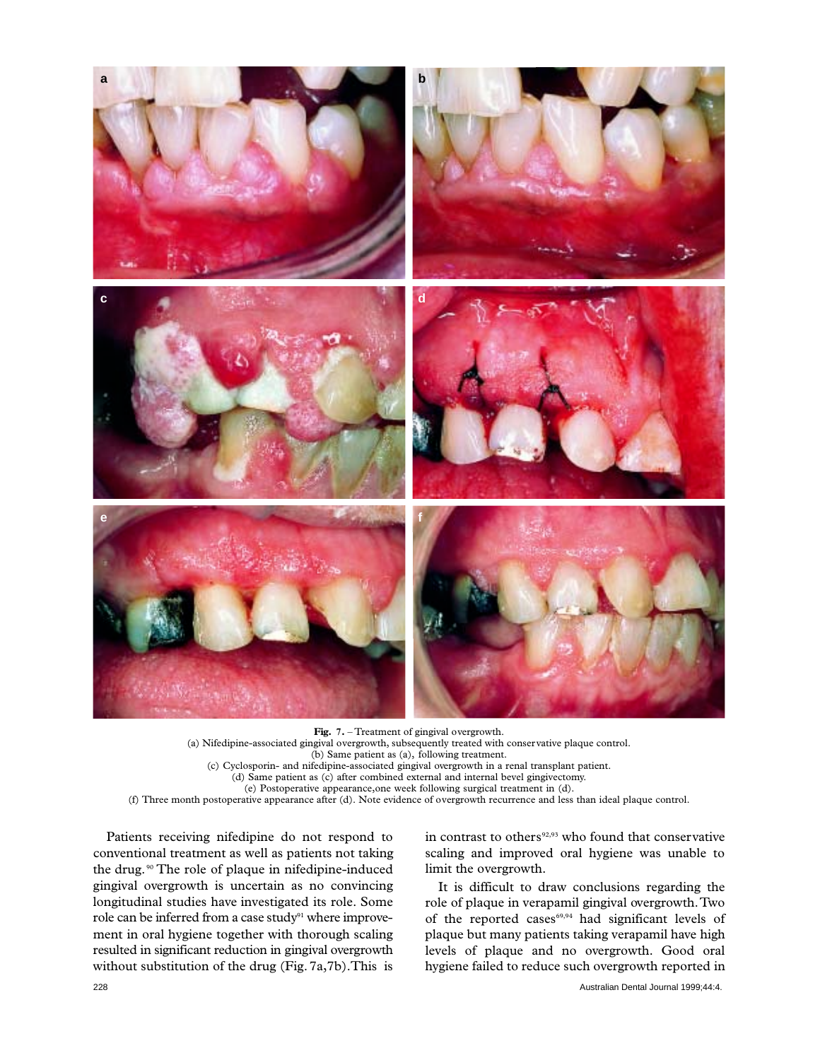

**Fig. 7.** – Treatment of gingival overgrowth. (a) Nifedipine-associated gingival overgrowth, subsequently treated with conservative plaque control. (b) Same patient as (a), following treatment. (c) Cyclosporin- and nifedipine-associated gingival overgrowth in a renal transplant patient. (d) Same patient as (c) after combined external and internal bevel gingivectomy. (e) Postoperative appearance,one week following surgical treatment in (d). (f) Three month postoperative appearance after (d). Note evidence of overgrowth recurrence and less than ideal plaque control.

Patients receiving nifedipine do not respond to conventional treatment as well as patients not taking the drug.<sup>90</sup> The role of plaque in nifedipine-induced gingival overgrowth is uncertain as no convincing longitudinal studies have investigated its role. Some role can be inferred from a case study<sup>91</sup> where improvement in oral hygiene together with thorough scaling resulted in significant reduction in gingival overgrowth without substitution of the drug (Fig. 7a,7b).This is

in contrast to others $92,93$  who found that conservative scaling and improved oral hygiene was unable to limit the overgrowth.

It is difficult to draw conclusions regarding the role of plaque in verapamil gingival overgrowth.Two of the reported cases<sup>69,94</sup> had significant levels of plaque but many patients taking verapamil have high levels of plaque and no overgrowth. Good oral hygiene failed to reduce such overgrowth reported in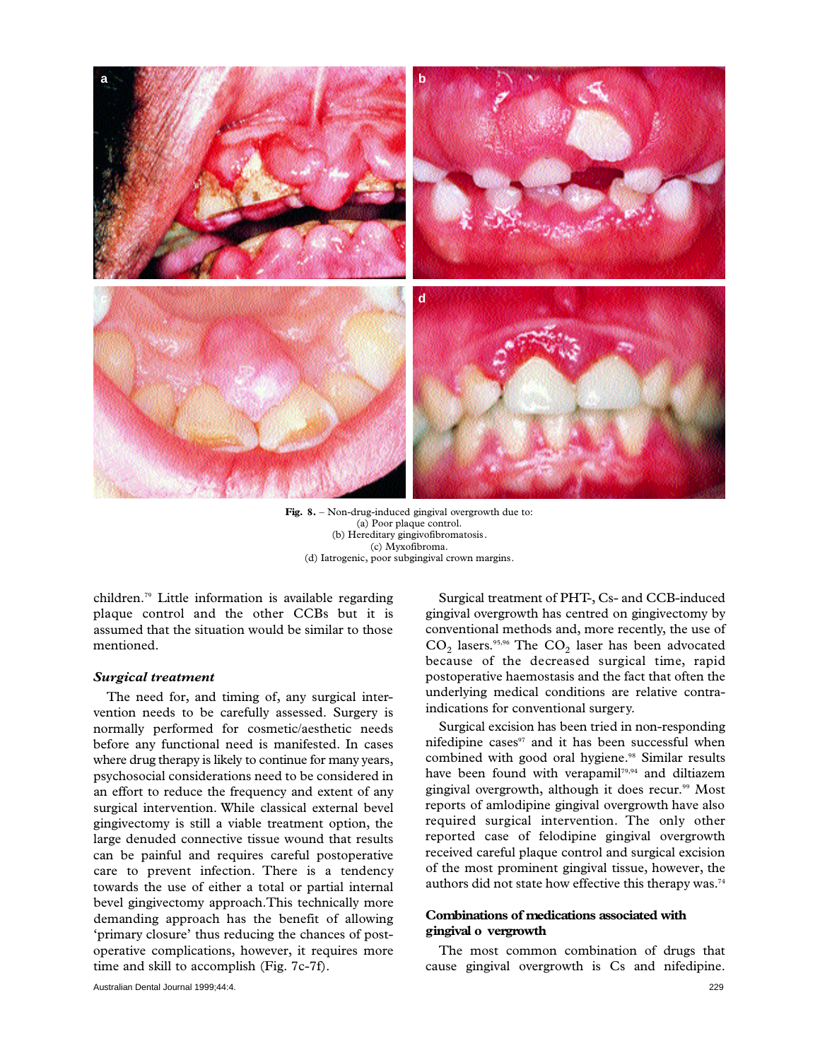

Fig. 8. – Non-drug-induced gingival overgrowth due to: (a) Poor plaque control. (b) Hereditary gingivofibromatosis. (c) Myxofibroma. (d) Iatrogenic, poor subgingival crown margins.

children.79 Little information is available regarding plaque control and the other CCBs but it is assumed that the situation would be similar to those mentioned.

#### *Surgical treatment*

The need for, and timing of, any surgical intervention needs to be carefully assessed. Surgery is normally performed for cosmetic/aesthetic needs before any functional need is manifested. In cases where drug therapy is likely to continue for many years, psychosocial considerations need to be considered in an effort to reduce the frequency and extent of any surgical intervention. While classical external bevel gingivectomy is still a viable treatment option, the large denuded connective tissue wound that results can be painful and requires careful postoperative care to prevent infection. There is a tendency towards the use of either a total or partial internal bevel gingivectomy approach.This technically more demanding approach has the benefit of allowing 'primary closure' thus reducing the chances of postoperative complications, however, it requires more time and skill to accomplish (Fig. 7c-7f).

Surgical treatment of PHT-, Cs- and CCB-induced gingival overgrowth has centred on gingivectomy by conventional methods and, more recently, the use of  $CO<sub>2</sub>$  lasers.<sup>95,96</sup> The  $CO<sub>2</sub>$  laser has been advocated because of the decreased surgical time, rapid postoperative haemostasis and the fact that often the underlying medical conditions are relative contraindications for conventional surgery.

Surgical excision has been tried in non-responding nifedipine cases<sup>97</sup> and it has been successful when combined with good oral hygiene.<sup>98</sup> Similar results have been found with verapamil<sup>79,94</sup> and diltiazem gingival overgrowth, although it does recur.<sup>99</sup> Most reports of amlodipine gingival overgrowth have also required surgical intervention. The only other reported case of felodipine gingival overgrowth received careful plaque control and surgical excision of the most prominent gingival tissue, however, the authors did not state how effective this therapy was.<sup>74</sup>

## **Combinations of medications associated with gingival o vergrowth**

The most common combination of drugs that cause gingival overgrowth is Cs and nifedipine.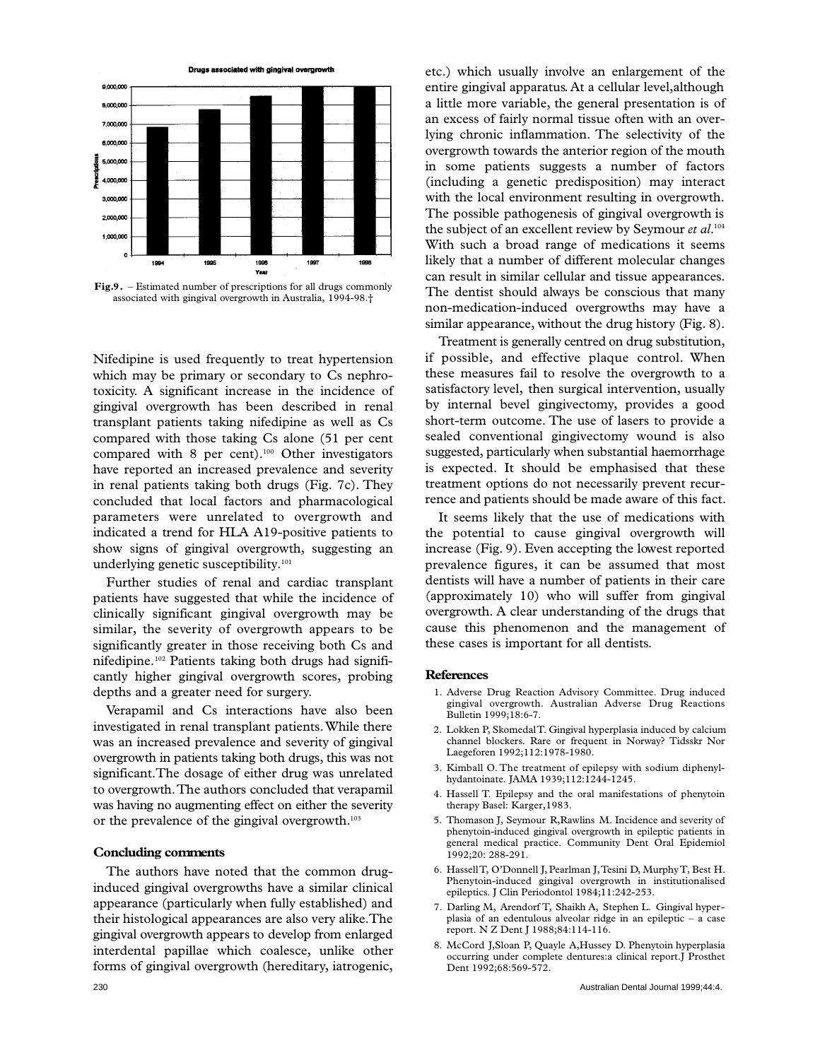

**Fig.9.** – Estimated number of prescriptions for all drugs commonly associated with gingival overgrowth in Australia, 1994-98.†

Nifedipine is used frequently to treat hypertension which may be primary or secondary to Cs nephrotoxicity. A significant increase in the incidence of gingival overgrowth has been described in renal transplant patients taking nifedipine as well as Cs compared with those taking Cs alone (51 per cent compared with 8 per cent).<sup>100</sup> Other investigators have reported an increased prevalence and severity in renal patients taking both drugs (Fig. 7c). They concluded that local factors and pharmacological parameters were unrelated to overgrowth and indicated a trend for HLA A19-positive patients to show signs of gingival overgrowth, suggesting an underlying genetic susceptibility.101

Further studies of renal and cardiac transplant patients have suggested that while the incidence of clinically significant gingival overgrowth may be similar, the severity of overgrowth appears to be significantly greater in those receiving both Cs and nifedipine.102 Patients taking both drugs had significantly higher gingival overgrowth scores, probing depths and a greater need for surgery.

Verapamil and Cs interactions have also been investigated in renal transplant patients.While there was an increased prevalence and severity of gingival overgrowth in patients taking both drugs, this was not significant.The dosage of either drug was unrelated to overgrowth. The authors concluded that verapamil was having no augmenting effect on either the severity or the prevalence of the gingival overgrowth.<sup>103</sup>

#### **Concluding comments**

The authors have noted that the common druginduced gingival overgrowths have a similar clinical appearance (particularly when fully established) and their histological appearances are also very alike.The gingival overgrowth appears to develop from enlarged interdental papillae which coalesce, unlike other forms of gingival overgrowth (hereditary, iatrogenic,

etc.) which usually involve an enlargement of the entire gingival apparatus. At a cellular level,although a little more variable, the general presentation is of an excess of fairly normal tissue often with an overlying chronic inflammation. The selectivity of the overgrowth towards the anterior region of the mouth in some patients suggests a number of factors (including a genetic predisposition) may interact with the local environment resulting in overgrowth. The possible pathogenesis of gingival overgrowth is the subject of an excellent review by Seymour *et al*. 104 With such a broad range of medications it seems likely that a number of different molecular changes can result in similar cellular and tissue appearances. The dentist should always be conscious that many non-medication-induced overgrowths may have a similar appearance, without the drug history (Fig. 8).

Treatment is generally centred on drug substitution, if possible, and effective plaque control. When these measures fail to resolve the overgrowth to a satisfactory level, then surgical intervention, usually by internal bevel gingivectomy, provides a good short-term outcome. The use of lasers to provide a sealed conventional gingivectomy wound is also suggested, particularly when substantial haemorrhage is expected. It should be emphasised that these treatment options do not necessarily prevent recurrence and patients should be made aware of this fact.

It seems likely that the use of medications with the potential to cause gingival overgrowth will increase (Fig. 9). Even accepting the lowest reported prevalence figures, it can be assumed that most dentists will have a number of patients in their care (approximately 10) who will suffer from gingival overgrowth. A clear understanding of the drugs that cause this phenomenon and the management of these cases is important for all dentists.

#### **References**

- 1. Adverse Drug Reaction Advisory Committee. Drug induced gingival overgrowth. Australian Adverse Drug Reactions Bulletin 1999;18:6-7.
- 2. Lokken P, SkomedalT. Gingival hyperplasia induced by calcium channel blockers. Rare or frequent in Norway? Tidsskr Nor Laegeforen 1992;112:1978-1980.
- 3. Kimball O. The treatment of epilepsy with sodium diphenylhydantoinate. JAMA 1939;112:1244-1245.
- 4. Hassell T. Epilepsy and the oral manifestations of phenytoin therapy Basel: Karger,1983.
- 5. Thomason J, Seymour R,Rawlins M. Incidence and severity of phenytoin-induced gingival overgrowth in epileptic patients in general medical practice. Community Dent Oral Epidemiol 1992;20: 288-291.
- 6. HassellT, O'Donnell J, Pearlman J,Tesini D, MurphyT, Best H. Phenytoin-induced gingival overgrowth in institutionalised epileptics. J Clin Periodontol 1984;11:242-253.
- 7. Darling M, Arendorf T, Shaikh A, Stephen L. Gingival hyperplasia of an edentulous alveolar ridge in an epileptic – a case report. N Z Dent J 1988;84:114-116.
- 8. McCord J,Sloan P, Quayle A,Hussey D. Phenytoin hyperplasia occurring under complete dentures:a clinical report.J Prosthet Dent 1992;68:569-572.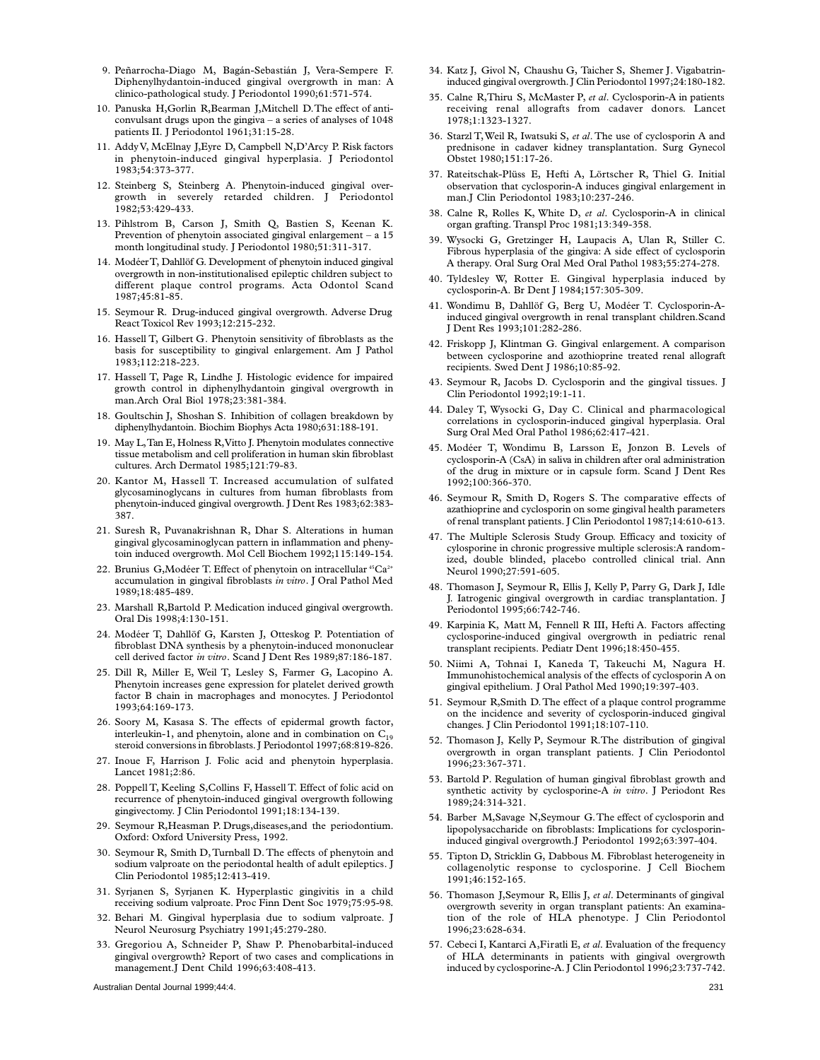- 9. Peñarrocha-Diago M, Bagán-Sebastián J, Vera-Sempere F. Diphenylhydantoin-induced gingival overgrowth in man: A clinico-pathological study. J Periodontol 1990;61:571-574.
- 10. Panuska H,Gorlin R,Bearman J,Mitchell D.The effect of anticonvulsant drugs upon the gingiva – a series of analyses of 1048 patients II. J Periodontol 1961;31:15-28.
- 11. AddyV, McElnay J,Eyre D, Campbell N,D'Arcy P. Risk factors in phenytoin-induced gingival hyperplasia. J Periodontol 1983;54:373-377.
- 12. Steinberg S, Steinberg A. Phenytoin-induced gingival overgrowth in severely retarded children. J Periodontol 1982;53:429-433.
- 13. Pihlstrom B, Carson J, Smith Q, Bastien S, Keenan K. Prevention of phenytoin associated gingival enlargement – a 15 month longitudinal study. J Periodontol 1980;51:311-317.
- 14. Modéer T, Dahllöf G. Development of phenytoin induced gingival overgrowth in non-institutionalised epileptic children subject to different plaque control programs. Acta Odontol Scand 1987;45:81-85.
- 15. Seymour R. Drug-induced gingival overgrowth. Adverse Drug React Toxicol Rev 1993;12:215-232.
- 16. Hassell T, Gilbert G. Phenytoin sensitivity of fibroblasts as the basis for susceptibility to gingival enlargement. Am J Pathol 1983;112:218-223.
- 17. Hassell T, Page R, Lindhe J. Histologic evidence for impaired growth control in diphenylhydantoin gingival overgrowth in man.Arch Oral Biol 1978;23:381-384.
- 18. Goultschin J, Shoshan S. Inhibition of collagen breakdown by diphenylhydantoin. Biochim Biophys Acta 1980;631:188-191.
- 19. May L, Tan E, Holness R, Vitto J. Phenytoin modulates connective tissue metabolism and cell proliferation in human skin fibroblast cultures. Arch Dermatol 1985;121:79-83.
- 20. Kantor M, Hassell T. Increased accumulation of sulfated glycosaminoglycans in cultures from human fibroblasts from phenytoin-induced gingival overgrowth. J Dent Res 1983;62:383-387.
- 21. Suresh R, Puvanakrishnan R, Dhar S. Alterations in human gingival glycosaminoglycan pattern in inflammation and phenytoin induced overgrowth. Mol Cell Biochem 1992;115:149-154.
- 22. Brunius G, Modéer T. Effect of phenytoin on intracellular <sup>45</sup>Ca<sup>2+</sup> accumulation in gingival fibroblasts *in vitro*. J Oral Pathol Med 1989;18:485-489.
- 23. Marshall R,Bartold P. Medication induced gingival overgrowth. Oral Dis 1998;4:130-151.
- 24. Modéer T, Dahllöf G, Karsten J, Otteskog P. Potentiation of fibroblast DNA synthesis by a phenytoin-induced mononuclear cell derived factor *in vitro*. Scand J Dent Res 1989;87:186-187.
- 25. Dill R, Miller E, Weil T, Lesley S, Farmer G, Lacopino A. Phenytoin increases gene expression for platelet derived growth factor B chain in macrophages and monocytes. J Periodontol 1993;64:169-173.
- 26. Soory M, Kasasa S. The effects of epidermal growth factor, interleukin-1, and phenytoin, alone and in combination on  $C_{19}$ steroid conversions in fibroblasts. J Periodontol 1997;68:819-826.
- 27. Inoue F, Harrison J. Folic acid and phenytoin hyperplasia. Lancet 1981;2:86.
- 28. Poppell T, Keeling S,Collins F, Hassell T. Effect of folic acid on recurrence of phenytoin-induced gingival overgrowth following gingivectomy. J Clin Periodontol 1991;18:134-139.
- 29. Seymour R,Heasman P. Drugs,diseases,and the periodontium. Oxford: Oxford University Press, 1992.
- 30. Seymour R, Smith D,Turnball D. The effects of phenytoin and sodium valproate on the periodontal health of adult epileptics. J Clin Periodontol 1985;12:413-419.
- 31. Syrjanen S, Syrjanen K. Hyperplastic gingivitis in a child receiving sodium valproate. Proc Finn Dent Soc 1979;75:95-98.
- 32. Behari M. Gingival hyperplasia due to sodium valproate. J Neurol Neurosurg Psychiatry 1991;45:279-280.
- 33. Gregoriou A, Schneider P, Shaw P. Phenobarbital-induced gingival overgrowth? Report of two cases and complications in management.J Dent Child 1996;63:408-413.

Australian Dental Journal 1999;44:4. 231

- 34. Katz J, Givol N, Chaushu G, Taicher S, Shemer J. Vigabatrininduced gingival overgrowth. J Clin Periodontol 1997;24:180-182.
- 35. Calne R,Thiru S, McMaster P, *et al*. Cyclosporin-A in patients receiving renal allografts from cadaver donors. Lancet 1978;1:1323-1327.
- 36. Starzl T,Weil R, Iwatsuki S, *et al*. The use of cyclosporin A and prednisone in cadaver kidney transplantation. Surg Gynecol Obstet 1980;151:17-26.
- 37. Rateitschak-Plüss E, Hefti A, Lörtscher R, Thiel G. Initial observation that cyclosporin-A induces gingival enlargement in man.J Clin Periodontol 1983;10:237-246.
- 38. Calne R, Rolles K, White D, *et al*. Cyclosporin-A in clinical organ grafting. Transpl Proc 1981;13:349-358.
- 39. Wysocki G, Gretzinger H, Laupacis A, Ulan R, Stiller C. Fibrous hyperplasia of the gingiva: A side effect of cyclosporin A therapy. Oral Surg Oral Med Oral Pathol 1983;55:274-278.
- 40. Tyldesley W, Rotter E. Gingival hyperplasia induced by cyclosporin-A. Br Dent J 1984;157:305-309.
- 41. Wondimu B, Dahllöf G, Berg U, Modéer T. Cyclosporin-Ainduced gingival overgrowth in renal transplant children.Scand J Dent Res 1993;101:282-286.
- 42. Friskopp J, Klintman G. Gingival enlargement. A comparison between cyclosporine and azothioprine treated renal allograft recipients. Swed Dent J 1986;10:85-92.
- 43. Seymour R, Jacobs D. Cyclosporin and the gingival tissues. J Clin Periodontol 1992;19:1-11.
- 44. Daley T, Wysocki G, Day C. Clinical and pharmacological correlations in cyclosporin-induced gingival hyperplasia. Oral Surg Oral Med Oral Pathol 1986;62:417-421.
- 45. Modéer T, Wondimu B, Larsson E, Jonzon B. Levels of cyclosporin-A (CsA) in saliva in children after oral administration of the drug in mixture or in capsule form. Scand J Dent Res 1992;100:366-370.
- 46. Seymour R, Smith D, Rogers S. The comparative effects of azathioprine and cyclosporin on some gingival health parameters of renal transplant patients. J Clin Periodontol 1987;14:610-613.
- 47. The Multiple Sclerosis Study Group. Efficacy and toxicity of cylosporine in chronic progressive multiple sclerosis:A randomized, double blinded, placebo controlled clinical trial. Ann Neurol 1990;27:591-605.
- 48. Thomason J, Seymour R, Ellis J, Kelly P, Parry G, Dark J, Idle J. Iatrogenic gingival overgrowth in cardiac transplantation. J Periodontol 1995;66:742-746.
- 49. Karpinia K, Matt M, Fennell R III, Hefti A. Factors affecting cyclosporine-induced gingival overgrowth in pediatric renal transplant recipients. Pediatr Dent 1996;18:450-455.
- 50. Niimi A, Tohnai I, Kaneda T, Takeuchi M, Nagura H. Immunohistochemical analysis of the effects of cyclosporin A on gingival epithelium. J Oral Pathol Med 1990;19:397-403.
- 51. Seymour R,Smith D.The effect of a plaque control programme on the incidence and severity of cyclosporin-induced gingival changes. J Clin Periodontol 1991;18:107-110.
- 52. Thomason J, Kelly P, Seymour R.The distribution of gingival overgrowth in organ transplant patients. J Clin Periodontol 1996;23:367-371.
- 53. Bartold P. Regulation of human gingival fibroblast growth and synthetic activity by cyclosporine-A *in vitro*. J Periodont Res 1989;24:314-321.
- 54. Barber M,Savage N,Seymour G.The effect of cyclosporin and lipopolysaccharide on fibroblasts: Implications for cyclosporininduced gingival overgrowth.J Periodontol 1992;63:397-404.
- 55. Tipton D, Stricklin G, Dabbous M. Fibroblast heterogeneity in collagenolytic response to cyclosporine. J Cell Biochem 1991;46:152-165.
- 56. Thomason J,Seymour R, Ellis J, *et al*. Determinants of gingival overgrowth severity in organ transplant patients: An examination of the role of HLA phenotype. J Clin Periodontol 1996;23:628-634.
- 57. Cebeci I, Kantarci A, Firatli E, et al. Evaluation of the frequency of HLA determinants in patients with gingival overgrowth induced by cyclosporine-A. J Clin Periodontol 1996;23:737-742.